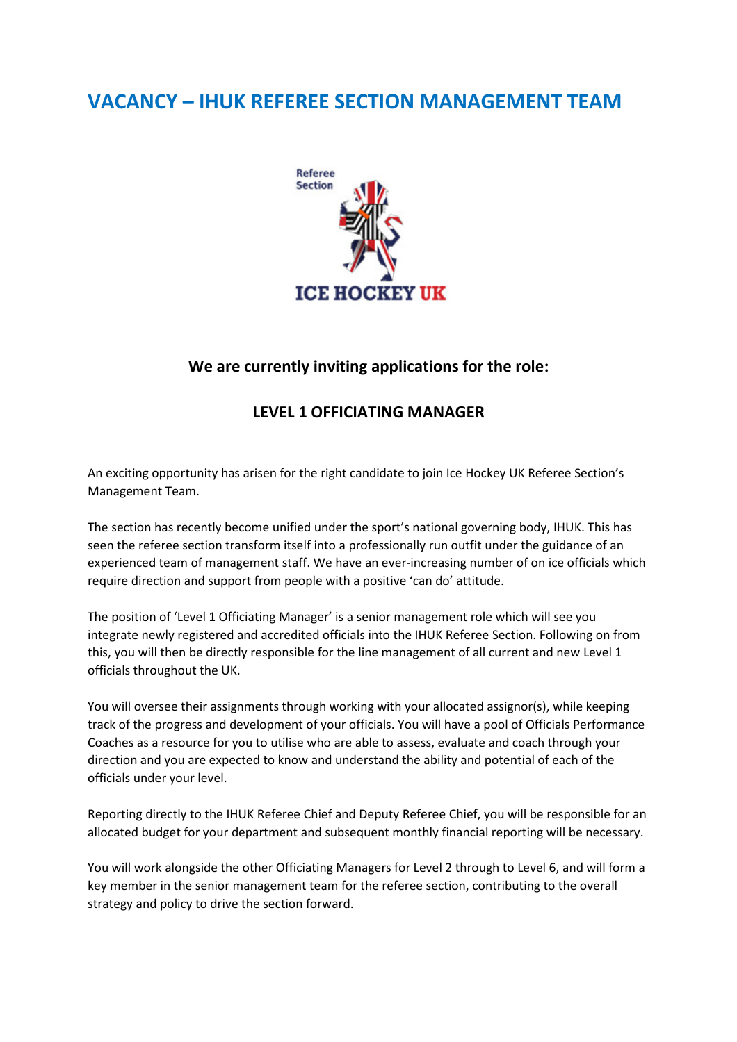## VACANCY – IHUK REFEREE SECTION MANAGEMENT TEAM



## We are currently inviting applications for the role:

## LEVEL 1 OFFICIATING MANAGER

An exciting opportunity has arisen for the right candidate to join Ice Hockey UK Referee Section's Management Team.

The section has recently become unified under the sport's national governing body, IHUK. This has seen the referee section transform itself into a professionally run outfit under the guidance of an experienced team of management staff. We have an ever-increasing number of on ice officials which require direction and support from people with a positive 'can do' attitude.

The position of 'Level 1 Officiating Manager' is a senior management role which will see you integrate newly registered and accredited officials into the IHUK Referee Section. Following on from this, you will then be directly responsible for the line management of all current and new Level 1 officials throughout the UK.

You will oversee their assignments through working with your allocated assignor(s), while keeping track of the progress and development of your officials. You will have a pool of Officials Performance Coaches as a resource for you to utilise who are able to assess, evaluate and coach through your direction and you are expected to know and understand the ability and potential of each of the officials under your level.

Reporting directly to the IHUK Referee Chief and Deputy Referee Chief, you will be responsible for an allocated budget for your department and subsequent monthly financial reporting will be necessary.

You will work alongside the other Officiating Managers for Level 2 through to Level 6, and will form a key member in the senior management team for the referee section, contributing to the overall strategy and policy to drive the section forward.